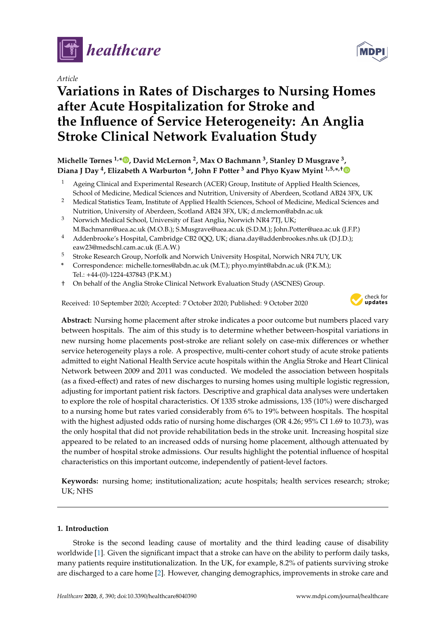

*Article*

# **Variations in Rates of Discharges to Nursing Homes after Acute Hospitalization for Stroke and the Influence of Service Heterogeneity: An Anglia Stroke Clinical Network Evaluation Study**

## **Michelle Tørnes 1,\* [,](https://orcid.org/0000-0002-9168-4510) David McLernon <sup>2</sup> , Max O Bachmann <sup>3</sup> , Stanley D Musgrave <sup>3</sup> , Diana J Day <sup>4</sup> , Elizabeth A Warburton <sup>4</sup> , John F Potter <sup>3</sup> and Phyo Kyaw Myint 1,5,\* ,**[†](https://orcid.org/0000-0003-3852-6158)

- <sup>1</sup> Ageing Clinical and Experimental Research (ACER) Group, Institute of Applied Health Sciences, School of Medicine, Medical Sciences and Nutrition, University of Aberdeen, Scotland AB24 3FX, UK
- <sup>2</sup> Medical Statistics Team, Institute of Applied Health Sciences, School of Medicine, Medical Sciences and
- Nutrition, University of Aberdeen, Scotland AB24 3FX, UK; d.mclernon@abdn.ac.uk <sup>3</sup> Norwich Medical School, University of East Anglia, Norwich NR4 7TJ, UK;
- M.Bachmann@uea.ac.uk (M.O.B.); S.Musgrave@uea.ac.uk (S.D.M.); John.Potter@uea.ac.uk (J.F.P.)
- <sup>4</sup> Addenbrooke's Hospital, Cambridge CB2 0QQ, UK; diana.day@addenbrookes.nhs.uk (D.J.D.); eaw23@medschl.cam.ac.uk (E.A.W.)
- <sup>5</sup> Stroke Research Group, Norfolk and Norwich University Hospital, Norwich NR4 7UY, UK
- **\*** Correspondence: michelle.tornes@abdn.ac.uk (M.T.); phyo.myint@abdn.ac.uk (P.K.M.); Tel.: +44-(0)-1224-437843 (P.K.M.)
- † On behalf of the Anglia Stroke Clinical Network Evaluation Study (ASCNES) Group.

Received: 10 September 2020; Accepted: 7 October 2020; Published: 9 October 2020



**Abstract:** Nursing home placement after stroke indicates a poor outcome but numbers placed vary between hospitals. The aim of this study is to determine whether between-hospital variations in new nursing home placements post-stroke are reliant solely on case-mix differences or whether service heterogeneity plays a role. A prospective, multi-center cohort study of acute stroke patients admitted to eight National Health Service acute hospitals within the Anglia Stroke and Heart Clinical Network between 2009 and 2011 was conducted. We modeled the association between hospitals (as a fixed-effect) and rates of new discharges to nursing homes using multiple logistic regression, adjusting for important patient risk factors. Descriptive and graphical data analyses were undertaken to explore the role of hospital characteristics. Of 1335 stroke admissions, 135 (10%) were discharged to a nursing home but rates varied considerably from 6% to 19% between hospitals. The hospital with the highest adjusted odds ratio of nursing home discharges (OR 4.26; 95% CI 1.69 to 10.73), was the only hospital that did not provide rehabilitation beds in the stroke unit. Increasing hospital size appeared to be related to an increased odds of nursing home placement, although attenuated by the number of hospital stroke admissions. Our results highlight the potential influence of hospital characteristics on this important outcome, independently of patient-level factors.

**Keywords:** nursing home; institutionalization; acute hospitals; health services research; stroke; UK; NHS

## **1. Introduction**

Stroke is the second leading cause of mortality and the third leading cause of disability worldwide [\[1\]](#page-10-0). Given the significant impact that a stroke can have on the ability to perform daily tasks, many patients require institutionalization. In the UK, for example, 8.2% of patients surviving stroke are discharged to a care home [\[2\]](#page-10-1). However, changing demographics, improvements in stroke care and

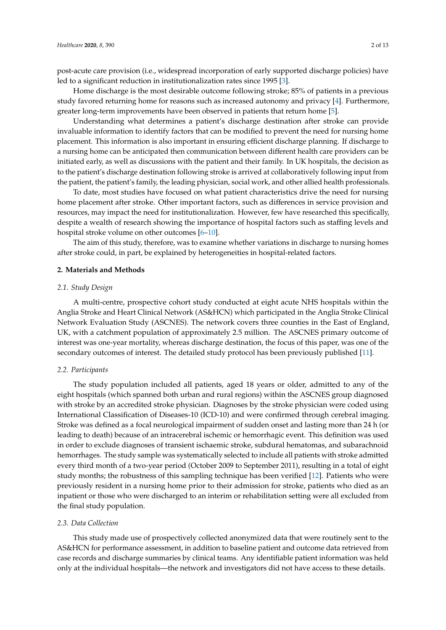post-acute care provision (i.e., widespread incorporation of early supported discharge policies) have led to a significant reduction in institutionalization rates since 1995 [\[3\]](#page-10-2).

Home discharge is the most desirable outcome following stroke; 85% of patients in a previous study favored returning home for reasons such as increased autonomy and privacy [\[4\]](#page-10-3). Furthermore, greater long-term improvements have been observed in patients that return home [\[5\]](#page-10-4).

Understanding what determines a patient's discharge destination after stroke can provide invaluable information to identify factors that can be modified to prevent the need for nursing home placement. This information is also important in ensuring efficient discharge planning. If discharge to a nursing home can be anticipated then communication between different health care providers can be initiated early, as well as discussions with the patient and their family. In UK hospitals, the decision as to the patient's discharge destination following stroke is arrived at collaboratively following input from the patient, the patient's family, the leading physician, social work, and other allied health professionals.

To date, most studies have focused on what patient characteristics drive the need for nursing home placement after stroke. Other important factors, such as differences in service provision and resources, may impact the need for institutionalization. However, few have researched this specifically, despite a wealth of research showing the importance of hospital factors such as staffing levels and hospital stroke volume on other outcomes [\[6–](#page-10-5)[10\]](#page-10-6).

The aim of this study, therefore, was to examine whether variations in discharge to nursing homes after stroke could, in part, be explained by heterogeneities in hospital-related factors.

#### **2. Materials and Methods**

#### *2.1. Study Design*

A multi-centre, prospective cohort study conducted at eight acute NHS hospitals within the Anglia Stroke and Heart Clinical Network (AS&HCN) which participated in the Anglia Stroke Clinical Network Evaluation Study (ASCNES). The network covers three counties in the East of England, UK, with a catchment population of approximately 2.5 million. The ASCNES primary outcome of interest was one-year mortality, whereas discharge destination, the focus of this paper, was one of the secondary outcomes of interest. The detailed study protocol has been previously published [\[11\]](#page-10-7).

#### *2.2. Participants*

The study population included all patients, aged 18 years or older, admitted to any of the eight hospitals (which spanned both urban and rural regions) within the ASCNES group diagnosed with stroke by an accredited stroke physician. Diagnoses by the stroke physician were coded using International Classification of Diseases-10 (ICD-10) and were confirmed through cerebral imaging. Stroke was defined as a focal neurological impairment of sudden onset and lasting more than 24 h (or leading to death) because of an intracerebral ischemic or hemorrhagic event. This definition was used in order to exclude diagnoses of transient ischaemic stroke, subdural hematomas, and subarachnoid hemorrhages. The study sample was systematically selected to include all patients with stroke admitted every third month of a two-year period (October 2009 to September 2011), resulting in a total of eight study months; the robustness of this sampling technique has been verified [\[12\]](#page-10-8). Patients who were previously resident in a nursing home prior to their admission for stroke, patients who died as an inpatient or those who were discharged to an interim or rehabilitation setting were all excluded from the final study population.

#### *2.3. Data Collection*

This study made use of prospectively collected anonymized data that were routinely sent to the AS&HCN for performance assessment, in addition to baseline patient and outcome data retrieved from case records and discharge summaries by clinical teams. Any identifiable patient information was held only at the individual hospitals—the network and investigators did not have access to these details.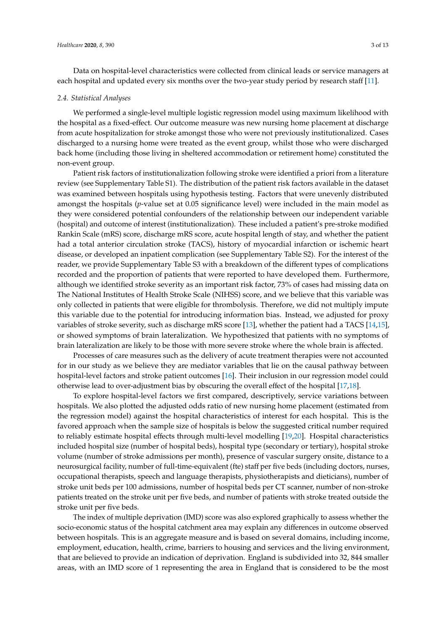Data on hospital-level characteristics were collected from clinical leads or service managers at each hospital and updated every six months over the two-year study period by research staff [\[11\]](#page-10-7).

#### *2.4. Statistical Analyses*

We performed a single-level multiple logistic regression model using maximum likelihood with the hospital as a fixed-effect. Our outcome measure was new nursing home placement at discharge from acute hospitalization for stroke amongst those who were not previously institutionalized. Cases discharged to a nursing home were treated as the event group, whilst those who were discharged back home (including those living in sheltered accommodation or retirement home) constituted the non-event group.

Patient risk factors of institutionalization following stroke were identified a priori from a literature review (see Supplementary Table S1). The distribution of the patient risk factors available in the dataset was examined between hospitals using hypothesis testing. Factors that were unevenly distributed amongst the hospitals (*p*-value set at 0.05 significance level) were included in the main model as they were considered potential confounders of the relationship between our independent variable (hospital) and outcome of interest (institutionalization). These included a patient's pre-stroke modified Rankin Scale (mRS) score, discharge mRS score, acute hospital length of stay, and whether the patient had a total anterior circulation stroke (TACS), history of myocardial infarction or ischemic heart disease, or developed an inpatient complication (see Supplementary Table S2). For the interest of the reader, we provide Supplementary Table S3 with a breakdown of the different types of complications recorded and the proportion of patients that were reported to have developed them. Furthermore, although we identified stroke severity as an important risk factor, 73% of cases had missing data on The National Institutes of Health Stroke Scale (NIHSS) score, and we believe that this variable was only collected in patients that were eligible for thrombolysis. Therefore, we did not multiply impute this variable due to the potential for introducing information bias. Instead, we adjusted for proxy variables of stroke severity, such as discharge mRS score [\[13\]](#page-10-9), whether the patient had a TACS [\[14](#page-11-0)[,15\]](#page-11-1), or showed symptoms of brain lateralization. We hypothesized that patients with no symptoms of brain lateralization are likely to be those with more severe stroke where the whole brain is affected.

Processes of care measures such as the delivery of acute treatment therapies were not accounted for in our study as we believe they are mediator variables that lie on the causal pathway between hospital-level factors and stroke patient outcomes [\[16\]](#page-11-2). Their inclusion in our regression model could otherwise lead to over-adjustment bias by obscuring the overall effect of the hospital [\[17,](#page-11-3)[18\]](#page-11-4).

To explore hospital-level factors we first compared, descriptively, service variations between hospitals. We also plotted the adjusted odds ratio of new nursing home placement (estimated from the regression model) against the hospital characteristics of interest for each hospital. This is the favored approach when the sample size of hospitals is below the suggested critical number required to reliably estimate hospital effects through multi-level modelling [\[19](#page-11-5)[,20\]](#page-11-6). Hospital characteristics included hospital size (number of hospital beds), hospital type (secondary or tertiary), hospital stroke volume (number of stroke admissions per month), presence of vascular surgery onsite, distance to a neurosurgical facility, number of full-time-equivalent (fte) staff per five beds (including doctors, nurses, occupational therapists, speech and language therapists, physiotherapists and dieticians), number of stroke unit beds per 100 admissions, number of hospital beds per CT scanner, number of non-stroke patients treated on the stroke unit per five beds, and number of patients with stroke treated outside the stroke unit per five beds.

The index of multiple deprivation (IMD) score was also explored graphically to assess whether the socio-economic status of the hospital catchment area may explain any differences in outcome observed between hospitals. This is an aggregate measure and is based on several domains, including income, employment, education, health, crime, barriers to housing and services and the living environment, that are believed to provide an indication of deprivation. England is subdivided into 32, 844 smaller areas, with an IMD score of 1 representing the area in England that is considered to be the most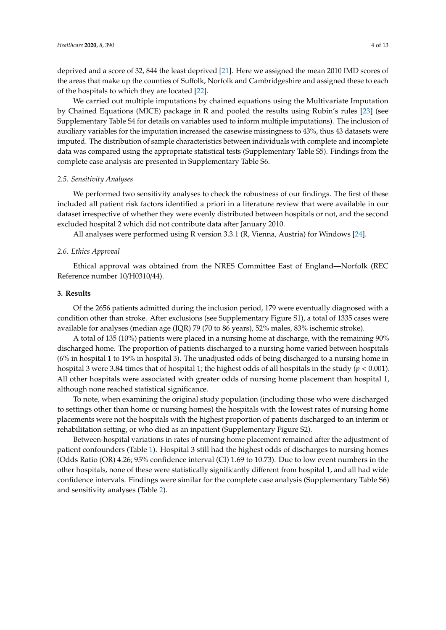deprived and a score of 32, 844 the least deprived [\[21\]](#page-11-7). Here we assigned the mean 2010 IMD scores of the areas that make up the counties of Suffolk, Norfolk and Cambridgeshire and assigned these to each of the hospitals to which they are located [\[22\]](#page-11-8).

We carried out multiple imputations by chained equations using the Multivariate Imputation by Chained Equations (MICE) package in R and pooled the results using Rubin's rules [\[23\]](#page-11-9) (see Supplementary Table S4 for details on variables used to inform multiple imputations). The inclusion of auxiliary variables for the imputation increased the casewise missingness to 43%, thus 43 datasets were imputed. The distribution of sample characteristics between individuals with complete and incomplete data was compared using the appropriate statistical tests (Supplementary Table S5). Findings from the complete case analysis are presented in Supplementary Table S6.

#### *2.5. Sensitivity Analyses*

We performed two sensitivity analyses to check the robustness of our findings. The first of these included all patient risk factors identified a priori in a literature review that were available in our dataset irrespective of whether they were evenly distributed between hospitals or not, and the second excluded hospital 2 which did not contribute data after January 2010.

All analyses were performed using R version 3.3.1 (R, Vienna, Austria) for Windows [\[24\]](#page-11-10).

## *2.6. Ethics Approval*

Ethical approval was obtained from the NRES Committee East of England—Norfolk (REC Reference number 10/H0310/44).

### **3. Results**

Of the 2656 patients admitted during the inclusion period, 179 were eventually diagnosed with a condition other than stroke. After exclusions (see Supplementary Figure S1), a total of 1335 cases were available for analyses (median age (IQR) 79 (70 to 86 years), 52% males, 83% ischemic stroke).

A total of 135 (10%) patients were placed in a nursing home at discharge, with the remaining 90% discharged home. The proportion of patients discharged to a nursing home varied between hospitals (6% in hospital 1 to 19% in hospital 3). The unadjusted odds of being discharged to a nursing home in hospital 3 were 3.84 times that of hospital 1; the highest odds of all hospitals in the study (*p* < 0.001). All other hospitals were associated with greater odds of nursing home placement than hospital 1, although none reached statistical significance.

To note, when examining the original study population (including those who were discharged to settings other than home or nursing homes) the hospitals with the lowest rates of nursing home placements were not the hospitals with the highest proportion of patients discharged to an interim or rehabilitation setting, or who died as an inpatient (Supplementary Figure S2).

Between-hospital variations in rates of nursing home placement remained after the adjustment of patient confounders (Table [1\)](#page-4-0). Hospital 3 still had the highest odds of discharges to nursing homes (Odds Ratio (OR) 4.26; 95% confidence interval (CI) 1.69 to 10.73). Due to low event numbers in the other hospitals, none of these were statistically significantly different from hospital 1, and all had wide confidence intervals. Findings were similar for the complete case analysis (Supplementary Table S6) and sensitivity analyses (Table [2\)](#page-4-1).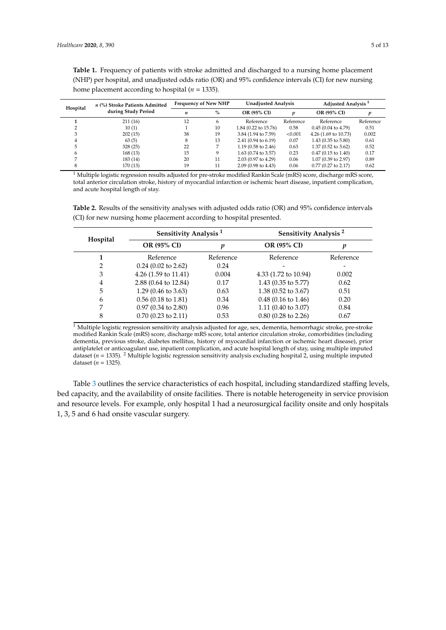| Hospital | n (%) Stroke Patients Admitted<br>during Study Period | <b>Frequency of New NHP</b> |      | <b>Unadjusted Analysis</b>    |           | Adjusted Analysis <sup>1</sup>  |           |
|----------|-------------------------------------------------------|-----------------------------|------|-------------------------------|-----------|---------------------------------|-----------|
|          |                                                       | n                           | $\%$ | OR (95% CI)                   |           | OR (95% CI)                     |           |
|          | 211(16)                                               | 12                          | 6    | Reference                     | Reference | Reference                       | Reference |
|          | 10(1)                                                 |                             | 10   | 1.84 (0.22 to 15.76)          | 0.58      | $0.45(0.04 \text{ to } 4.79)$   | 0.51      |
|          | 202(15)                                               | 38                          | 19   | 3.84 (1.94 to 7.59)           | < 0.001   | 4.26 $(1.69 \text{ to } 10.73)$ | 0.002     |
|          | 63(5)                                                 |                             | 13   | $2.41(0.94 \text{ to } 6.19)$ | 0.07      | $1.43(0.35 \text{ to } 5.80)$   | 0.61      |
|          | 328(25)                                               | 22                          |      | $1.19$ (0.58 to 2.46)         | 0.63      | 1.37 (0.52 to 3.62)             | 0.52      |
| 6        | 168(13)                                               | 15                          | 9    | $1.63$ (0.74 to 3.57)         | 0.23      | $0.47$ (0.15 to 1.40)           | 0.17      |
|          | 183 (14)                                              | 20                          | 11   | 2.03 (0.97 to 4.29)           | 0.06      | 1.07 (0.39 to 2.97)             | 0.89      |
| 8        | 170 (13)                                              | 19                          | 11   | $2.09(0.98 \text{ to } 4.43)$ | 0.06      | $0.77(0.27)$ to $2.17$ )        | 0.62      |

<span id="page-4-0"></span>**Table 1.** Frequency of patients with stroke admitted and discharged to a nursing home placement (NHP) per hospital, and unadjusted odds ratio (OR) and 95% confidence intervals (CI) for new nursing home placement according to hospital ( $n = 1335$ ).

 $1$  Multiple logistic regression results adjusted for pre-stroke modified Rankin Scale (mRS) score, discharge mRS score, total anterior circulation stroke, history of myocardial infarction or ischemic heart disease, inpatient complication, and acute hospital length of stay.

<span id="page-4-1"></span>**Table 2.** Results of the sensitivity analyses with adjusted odds ratio (OR) and 95% confidence intervals (CI) for new nursing home placement according to hospital presented.

| Hospital | Sensitivity Analysis <sup>1</sup> |           | Sensitivity Analysis <sup>2</sup> |           |  |  |
|----------|-----------------------------------|-----------|-----------------------------------|-----------|--|--|
|          | OR (95% CI)                       |           | OR (95% CI)                       | р         |  |  |
|          | Reference                         | Reference | Reference                         | Reference |  |  |
| 2        | $0.24$ (0.02 to 2.62)             | 0.24      |                                   |           |  |  |
| 3        | 4.26 $(1.59 \text{ to } 11.41)$   | 0.004     | 4.33 (1.72 to 10.94)              | 0.002     |  |  |
| 4        | 2.88 (0.64 to 12.84)              | 0.17      | 1.43 (0.35 to 5.77)               | 0.62      |  |  |
| 5        | $1.29(0.46 \text{ to } 3.63)$     | 0.63      | 1.38 (0.52 to 3.67)               | 0.51      |  |  |
| 6        | $0.56$ (0.18 to 1.81)             | 0.34      | $0.48$ (0.16 to 1.46)             | 0.20      |  |  |
| 7        | $0.97(0.34 \text{ to } 2.80)$     | 0.96      | 1.11 (0.40 to 3.07)               | 0.84      |  |  |
| 8        | $0.70$ (0.23 to 2.11)             | 0.53      | $0.80$ (0.28 to 2.26)             | 0.67      |  |  |

<sup>1</sup> Multiple logistic regression sensitivity analysis adjusted for age, sex, dementia, hemorrhagic stroke, pre-stroke modified Rankin Scale (mRS) score, discharge mRS score, total anterior circulation stroke, comorbidities (including dementia, previous stroke, diabetes mellitus, history of myocardial infarction or ischemic heart disease), prior antiplatelet or anticoagulant use, inpatient complication, and acute hospital length of stay, using multiple imputed dataset (*n* = 1335). <sup>2</sup> Multiple logistic regression sensitivity analysis excluding hospital 2, using multiple imputed dataset ( $n = 1325$ ).

Table [3](#page-5-0) outlines the service characteristics of each hospital, including standardized staffing levels, bed capacity, and the availability of onsite facilities. There is notable heterogeneity in service provision and resource levels. For example, only hospital 1 had a neurosurgical facility onsite and only hospitals 1, 3, 5 and 6 had onsite vascular surgery.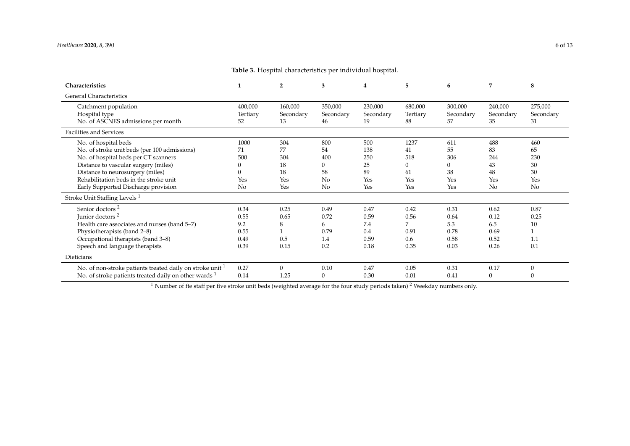| Characteristics                                                                                                                                                                                                                                                           |                                             | $\overline{2}$                             | 3                                       | 4                                           | 5.                                         | 6                                           | 7                                           | 8                                         |
|---------------------------------------------------------------------------------------------------------------------------------------------------------------------------------------------------------------------------------------------------------------------------|---------------------------------------------|--------------------------------------------|-----------------------------------------|---------------------------------------------|--------------------------------------------|---------------------------------------------|---------------------------------------------|-------------------------------------------|
| <b>General Characteristics</b>                                                                                                                                                                                                                                            |                                             |                                            |                                         |                                             |                                            |                                             |                                             |                                           |
| Catchment population<br>Hospital type<br>No. of ASCNES admissions per month                                                                                                                                                                                               | 400,000<br>Tertiary<br>52                   | 160,000<br>Secondary<br>13                 | 350,000<br>Secondary<br>46              | 230,000<br>Secondary<br>19                  | 680,000<br>Tertiary<br>88                  | 300,000<br>Secondary<br>57                  | 240,000<br>Secondary<br>35                  | 275,000<br>Secondary<br>31                |
| Facilities and Services                                                                                                                                                                                                                                                   |                                             |                                            |                                         |                                             |                                            |                                             |                                             |                                           |
| No. of hospital beds<br>No. of stroke unit beds (per 100 admissions)<br>No. of hospital beds per CT scanners<br>Distance to vascular surgery (miles)<br>Distance to neurosurgery (miles)<br>Rehabilitation beds in the stroke unit<br>Early Supported Discharge provision | 1000<br>71<br>500<br>0<br>Yes<br>No         | 304<br>77<br>304<br>18<br>18<br>Yes<br>Yes | 800<br>54<br>400<br>0<br>58<br>No<br>No | 500<br>138<br>250<br>25<br>89<br>Yes<br>Yes | 1237<br>41<br>518<br>0<br>61<br>Yes<br>Yes | 611<br>55<br>306<br>0<br>38<br>Yes<br>Yes   | 488<br>83<br>244<br>43<br>48<br>Yes<br>No   | 460<br>65<br>230<br>30<br>30<br>Yes<br>No |
| Stroke Unit Staffing Levels <sup>1</sup>                                                                                                                                                                                                                                  |                                             |                                            |                                         |                                             |                                            |                                             |                                             |                                           |
| Senior doctors <sup>2</sup><br>Junior doctors <sup>2</sup><br>Health care associates and nurses (band 5-7)<br>Physiotherapists (band 2-8)<br>Occupational therapists (band 3-8)<br>Speech and language therapists                                                         | 0.34<br>0.55<br>9.2<br>0.55<br>0.49<br>0.39 | 0.25<br>0.65<br>8<br>0.5<br>0.15           | 0.49<br>0.72<br>6<br>0.79<br>1.4<br>0.2 | 0.47<br>0.59<br>7.4<br>0.4<br>0.59<br>0.18  | 0.42<br>0.56<br>7<br>0.91<br>0.6<br>0.35   | 0.31<br>0.64<br>5.3<br>0.78<br>0.58<br>0.03 | 0.62<br>0.12<br>6.5<br>0.69<br>0.52<br>0.26 | 0.87<br>0.25<br>10<br>1.1<br>0.1          |
| Dieticians                                                                                                                                                                                                                                                                |                                             |                                            |                                         |                                             |                                            |                                             |                                             |                                           |
| No. of non-stroke patients treated daily on stroke unit <sup>1</sup><br>No. of stroke patients treated daily on other wards $1$                                                                                                                                           | 0.27<br>0.14                                | $\Omega$<br>1.25                           | 0.10<br>0                               | 0.47<br>0.30                                | 0.05<br>0.01                               | 0.31<br>0.41                                | 0.17<br>$\Omega$                            | $\overline{0}$<br>0                       |

**Table 3.** Hospital characteristics per individual hospital.

<span id="page-5-0"></span> $1$  Number of fte staff per five stroke unit beds (weighted average for the four study periods taken)  $2$  Weekday numbers only.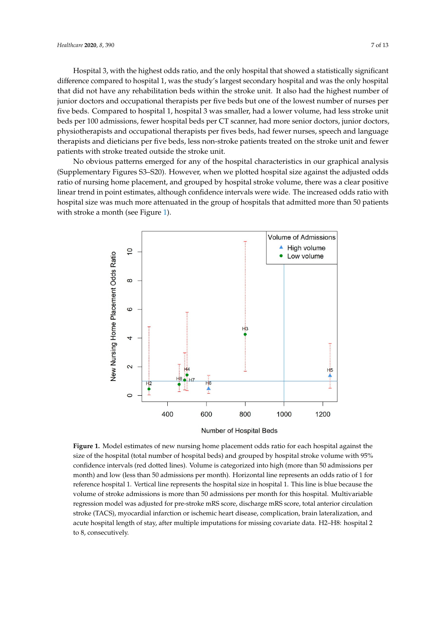Hospital 3, with the highest odds ratio, and the only hospital that showed a statistically significant Hospital 3, with the highest odds ratio, and the only hospital that showed a statistically difference compared to hospital 1, was the study's largest secondary hospital and was the only hospital that did not have any rehabilitation beds within the stroke unit. It also had the highest number of junior doctors and occupational therapists per five beds but one of the lowest number of nurses per five beds. Compared to hospital 1, hospital 3 was smaller, had a lower volume, had less stroke unit beds per 100 admissions, fewer hospital beds per CT scanner, had more senior doctors, junior doctors, physiotherapists and occupational therapists per fives beds, had fewer nurses, speech and language therapists and dieticians per five beds, less non-stroke patients treated on the stroke unit and fewer patients with stroke treated outside the stroke unit.

No obvious patterns emerged for any of the hospital characteristics in our graphical analysis No obvious patterns emerged for any of the hospital characteristics in our graphical analysis (Supplementary Figures S3–S20). However, when we plotted hospital size against the adjusted odds (Supplementary Figures S3–S20). However, when we plotted hospital size against the adjusted odds ratio of nursing home placement, and grouped by hospital stroke volume, there was a clear positive ratio of nursing home placement, and grouped by hospital stroke volume, there was a clear positive linear trend in point estimates, although confidence intervals were wide. The increased odds ratio with linear trend in point estimates, although confidence intervals were wide. The increased odds ratio hospital size was much more attenuated in the group of hospitals that admitted more than 50 patients with stroke a month (see Figure [1\)](#page-6-0). patients with stroke a month (see Figure 1).

<span id="page-6-0"></span>

**Number of Hospital Beds** 

size of the hospital (total number of hospital beds) and grouped by hospital stroke volume with 95% confidence intervals (red dotted lines). Volume is categorized into high (more than 50 admissions per month) and low (less than 50 admissions per month). Horizontal line represents an odds ratio of 1 for reference hospital 1. Vertical line represents the hospital size in hospital 1. This line is blue because the volume of stroke admissions is more than 50 admissions per month for this hospital. Multivariable regression model was adjusted for pre-stroke mRS score, discharge mRS score, total anterior circulation stroke (TACS), myocardial infarction or ischemic heart disease, complication, brain lateralization, and acute hospital length of stay, after multiple imputations for missing covariate data. H2–H8: hospital 2  $\lambda$ , consecutively, and acute hospital length of stations for multiple imputations for  $\lambda$ . **Figure 1.** Model estimates of new nursing home placement odds ratio for each hospital against the to 8, consecutively.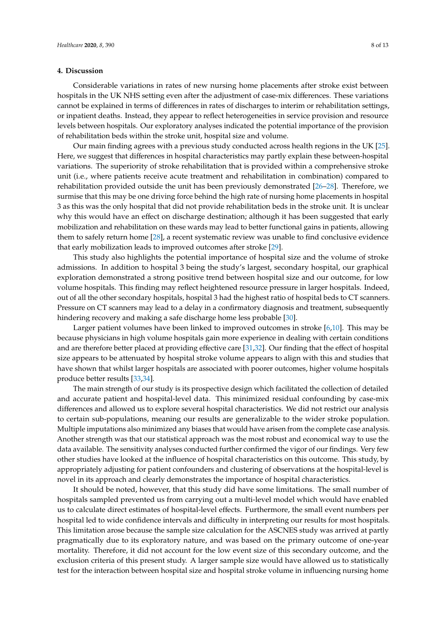### **4. Discussion**

Considerable variations in rates of new nursing home placements after stroke exist between hospitals in the UK NHS setting even after the adjustment of case-mix differences. These variations cannot be explained in terms of differences in rates of discharges to interim or rehabilitation settings, or inpatient deaths. Instead, they appear to reflect heterogeneities in service provision and resource levels between hospitals. Our exploratory analyses indicated the potential importance of the provision of rehabilitation beds within the stroke unit, hospital size and volume.

Our main finding agrees with a previous study conducted across health regions in the UK [\[25\]](#page-11-11). Here, we suggest that differences in hospital characteristics may partly explain these between-hospital variations. The superiority of stroke rehabilitation that is provided within a comprehensive stroke unit (i.e., where patients receive acute treatment and rehabilitation in combination) compared to rehabilitation provided outside the unit has been previously demonstrated [\[26–](#page-11-12)[28\]](#page-11-13). Therefore, we surmise that this may be one driving force behind the high rate of nursing home placements in hospital 3 as this was the only hospital that did not provide rehabilitation beds in the stroke unit. It is unclear why this would have an effect on discharge destination; although it has been suggested that early mobilization and rehabilitation on these wards may lead to better functional gains in patients, allowing them to safely return home [\[28\]](#page-11-13), a recent systematic review was unable to find conclusive evidence that early mobilization leads to improved outcomes after stroke [\[29\]](#page-11-14).

This study also highlights the potential importance of hospital size and the volume of stroke admissions. In addition to hospital 3 being the study's largest, secondary hospital, our graphical exploration demonstrated a strong positive trend between hospital size and our outcome, for low volume hospitals. This finding may reflect heightened resource pressure in larger hospitals. Indeed, out of all the other secondary hospitals, hospital 3 had the highest ratio of hospital beds to CT scanners. Pressure on CT scanners may lead to a delay in a confirmatory diagnosis and treatment, subsequently hindering recovery and making a safe discharge home less probable [\[30\]](#page-11-15).

Larger patient volumes have been linked to improved outcomes in stroke [\[6](#page-10-5)[,10\]](#page-10-6). This may be because physicians in high volume hospitals gain more experience in dealing with certain conditions and are therefore better placed at providing effective care [\[31,](#page-11-16)[32\]](#page-11-17). Our finding that the effect of hospital size appears to be attenuated by hospital stroke volume appears to align with this and studies that have shown that whilst larger hospitals are associated with poorer outcomes, higher volume hospitals produce better results [\[33,](#page-11-18)[34\]](#page-11-19).

The main strength of our study is its prospective design which facilitated the collection of detailed and accurate patient and hospital-level data. This minimized residual confounding by case-mix differences and allowed us to explore several hospital characteristics. We did not restrict our analysis to certain sub-populations, meaning our results are generalizable to the wider stroke population. Multiple imputations also minimized any biases that would have arisen from the complete case analysis. Another strength was that our statistical approach was the most robust and economical way to use the data available. The sensitivity analyses conducted further confirmed the vigor of our findings. Very few other studies have looked at the influence of hospital characteristics on this outcome. This study, by appropriately adjusting for patient confounders and clustering of observations at the hospital-level is novel in its approach and clearly demonstrates the importance of hospital characteristics.

It should be noted, however, that this study did have some limitations. The small number of hospitals sampled prevented us from carrying out a multi-level model which would have enabled us to calculate direct estimates of hospital-level effects. Furthermore, the small event numbers per hospital led to wide confidence intervals and difficulty in interpreting our results for most hospitals. This limitation arose because the sample size calculation for the ASCNES study was arrived at partly pragmatically due to its exploratory nature, and was based on the primary outcome of one-year mortality. Therefore, it did not account for the low event size of this secondary outcome, and the exclusion criteria of this present study. A larger sample size would have allowed us to statistically test for the interaction between hospital size and hospital stroke volume in influencing nursing home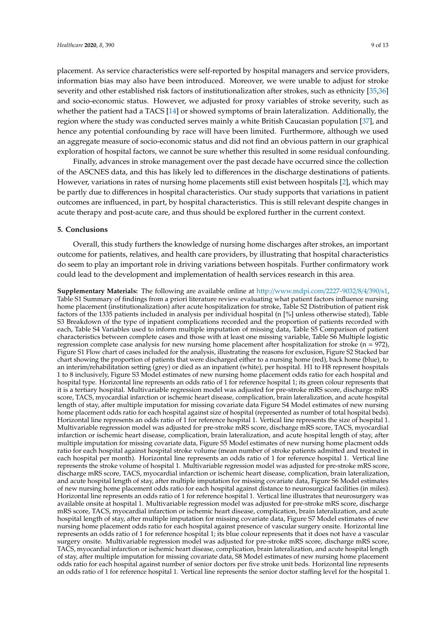placement. As service characteristics were self-reported by hospital managers and service providers, information bias may also have been introduced. Moreover, we were unable to adjust for stroke severity and other established risk factors of institutionalization after strokes, such as ethnicity [\[35,](#page-11-20)[36\]](#page-12-0) and socio-economic status. However, we adjusted for proxy variables of stroke severity, such as whether the patient had a TACS [\[14\]](#page-11-0) or showed symptoms of brain lateralization. Additionally, the region where the study was conducted serves mainly a white British Caucasian population [\[37\]](#page-12-1), and hence any potential confounding by race will have been limited. Furthermore, although we used an aggregate measure of socio-economic status and did not find an obvious pattern in our graphical exploration of hospital factors, we cannot be sure whether this resulted in some residual confounding.

Finally, advances in stroke management over the past decade have occurred since the collection of the ASCNES data, and this has likely led to differences in the discharge destinations of patients. However, variations in rates of nursing home placements still exist between hospitals [\[2\]](#page-10-1), which may be partly due to differences in hospital characteristics. Our study supports that variations in patient outcomes are influenced, in part, by hospital characteristics. This is still relevant despite changes in acute therapy and post-acute care, and thus should be explored further in the current context.

#### **5. Conclusions**

Overall, this study furthers the knowledge of nursing home discharges after strokes, an important outcome for patients, relatives, and health care providers, by illustrating that hospital characteristics do seem to play an important role in driving variations between hospitals. Further confirmatory work could lead to the development and implementation of health services research in this area.

**Supplementary Materials:** The following are available online at http://[www.mdpi.com](http://www.mdpi.com/2227-9032/8/4/390/s1)/2227-9032/8/4/390/s1, Table S1 Summary of findings from a priori literature review evaluating what patient factors influence nursing home placement (institutionalization) after acute hospitalization for stroke, Table S2 Distribution of patient risk factors of the 1335 patients included in analysis per individual hospital (n [%] unless otherwise stated), Table S3 Breakdown of the type of inpatient complications recorded and the proportion of patients recorded with each, Table S4 Variables used to inform multiple imputation of missing data, Table S5 Comparison of patient characteristics between complete cases and those with at least one missing variable, Table S6 Multiple logistic regression complete case analysis for new nursing home placement after hospitalization for stroke ( $n = 972$ ), Figure S1 Flow chart of cases included for the analysis, illustrating the reasons for exclusion, Figure S2 Stacked bar chart showing the proportion of patients that were discharged either to a nursing home (red), back home (blue), to an interim/rehabilitation setting (grey) or died as an inpatient (white), per hospital. H1 to H8 represent hospitals 1 to 8 inclusively, Figure S3 Model estimates of new nursing home placement odds ratio for each hospital and hospital type. Horizontal line represents an odds ratio of 1 for reference hospital 1; its green colour represents that it is a tertiary hospital. Multivariable regression model was adjusted for pre-stroke mRS score, discharge mRS score, TACS, myocardial infarction or ischemic heart disease, complication, brain lateralization, and acute hospital length of stay, after multiple imputation for missing covariate data Figure S4 Model estimates of new nursing home placement odds ratio for each hospital against size of hospital (represented as number of total hospital beds). Horizontal line represents an odds ratio of 1 for reference hospital 1. Vertical line represents the size of hospital 1. Multivariable regression model was adjusted for pre-stroke mRS score, discharge mRS score, TACS, myocardial infarction or ischemic heart disease, complication, brain lateralization, and acute hospital length of stay, after multiple imputation for missing covariate data, Figure S5 Model estimates of new nursing home placment odds ratio for each hospital against hospital stroke volume (mean number of stroke patients admitted and treated in each hospital per month). Horizontal line represents an odds ratio of 1 for reference hospital 1. Vertical line represents the stroke volume of hospital 1. Multivariable regression model was adjusted for pre-stroke mRS score, discharge mRS score, TACS, myocardial infarction or ischemic heart disease, complication, brain lateralization, and acute hospital length of stay, after multiple imputation for missing covariate data, Figure S6 Model estimates of new nursing home placement odds ratio for each hospital against distance to neurosurgical facilities (in miles). Horizontal line represents an odds ratio of 1 for reference hospital 1. Vertical line illustrates that neurosurgery was available onsite at hospital 1. Multivariable regression model was adjusted for pre-stroke mRS score, discharge mRS score, TACS, myocardial infarction or ischemic heart disease, complication, brain lateralization, and acute hospital length of stay, after multiple imputation for missing covariate data, Figure S7 Model estimates of new nursing home placement odds ratio for each hospital against presence of vascular surgery onsite. Horizontal line represents an odds ratio of 1 for reference hospital 1; its blue colour represents that it does not have a vascular surgery onsite. Multivariable regression model was adjusted for pre-stroke mRS score, discharge mRS score, TACS, myocardial infarction or ischemic heart disease, complication, brain lateralization, and acute hospital length of stay, after multiple imputation for missing covariate data, S8 Model estimates of new nursing home placement odds ratio for each hospital against number of senior doctors per five stroke unit beds. Horizontal line represents an odds ratio of 1 for reference hospital 1. Vertical line represents the senior doctor staffing level for the hospital 1.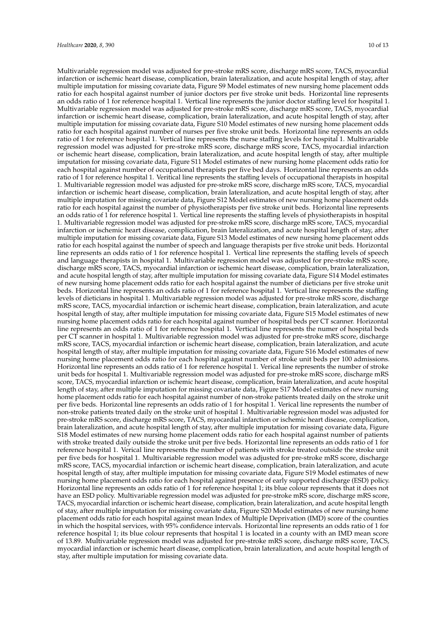Multivariable regression model was adjusted for pre-stroke mRS score, discharge mRS score, TACS, myocardial infarction or ischemic heart disease, complication, brain lateralization, and acute hospital length of stay, after multiple imputation for missing covariate data, Figure S9 Model estimates of new nursing home placement odds ratio for each hospital against number of junior doctors per five stroke unit beds. Horizontal line represents an odds ratio of 1 for reference hospital 1. Vertical line represents the junior doctor staffing level for hospital 1. Multivariable regression model was adjusted for pre-stroke mRS score, discharge mRS score, TACS, myocardial infarction or ischemic heart disease, complication, brain lateralization, and acute hospital length of stay, after multiple imputation for missing covariate data, Figure S10 Model estimates of new nursing home placement odds ratio for each hospital against number of nurses per five stroke unit beds. Horizontal line represents an odds ratio of 1 for reference hospital 1. Vertical line represents the nurse staffing levels for hospital 1. Multivariable regression model was adjusted for pre-stroke mRS score, discharge mRS score, TACS, myocardial infarction or ischemic heart disease, complication, brain lateralization, and acute hospital length of stay, after multiple imputation for missing covariate data, Figure S11 Model estimates of new nursing home placement odds ratio for each hospital against number of occupational therapists per five bed days. Horizontal line represents an odds ratio of 1 for reference hospital 1. Veritical line represents the staffing levels of occupational therapists in hospital 1. Multivariable regression model was adjusted for pre-stroke mRS score, discharge mRS score, TACS, myocardial infarction or ischemic heart disease, complication, brain lateralization, and acute hospital length of stay, after multiple imputation for missing covariate data, Figure S12 Model estimates of new nursing home placement odds ratio for each hospital against the number of physiotherapists per five stroke unit beds. Horizontal line represents an odds ratio of 1 for reference hospital 1. Vertical line represents the staffing levels of physiotherapists in hospital 1. Multivariable regression model was adjusted for pre-stroke mRS score, discharge mRS score, TACS, myocardial infarction or ischemic heart disease, complication, brain lateralization, and acute hospital length of stay, after multiple imputation for missing covariate data, Figure S13 Model estimates of new nursing home placement odds ratio for each hospital against the number of speech and language therapists per five stroke unit beds. Horizontal line represents an odds ratio of 1 for reference hospital 1. Vertical line represents the staffing levels of speech and language therapists in hospital 1. Multivariable regression model was adjusted for pre-stroke mRS score, discharge mRS score, TACS, myocardial infarction or ischemic heart disease, complication, brain lateralization, and acute hospital length of stay, after multiple imputation for missing covariate data, Figure S14 Model estimates of new nursing home placement odds ratio for each hospital against the number of dieticians per five stroke unit beds. Horizontal line represents an odds ratio of 1 for reference hospital 1. Vertical line represents the staffing levels of dieticians in hospital 1. Multivariable regression model was adjusted for pre-stroke mRS score, discharge mRS score, TACS, myocardial infarction or ischemic heart disease, complication, brain lateralization, and acute hospital length of stay, after multiple imputation for missing covariate data, Figure S15 Model estimates of new nursing home placement odds ratio for each hospital against number of hospital beds per CT scanner. Horizontal line represents an odds ratio of 1 for reference hospital 1. Vertical line represents the numer of hospital beds per CT scanner in hospital 1. Multivariable regression model was adjusted for pre-stroke mRS score, discharge mRS score, TACS, myocardial infarction or ischemic heart disease, complication, brain lateralization, and acute hospital length of stay, after multiple imputation for missing covariate data, Figure S16 Model estimates of new nursing home placement odds ratio for each hospital against number of stroke unit beds per 100 admissions. Horizontal line represents an odds ratio of 1 for reference hospital 1. Verical line represents the number of stroke unit beds for hospital 1. Multivariable regression model was adjusted for pre-stroke mRS score, discharge mRS score, TACS, myocardial infarction or ischemic heart disease, complication, brain lateralization, and acute hospital length of stay, after multiple imputation for missing covariate data, Figure S17 Model estimates of new nursing home placement odds ratio for each hospital against number of non-stroke patients treated daily on the stroke unit per five beds. Horizontal line represents an odds ratio of 1 for hospital 1. Verical line represents the number of non-stroke patients treated daily on the stroke unit of hospital 1. Multivariable regression model was adjusted for pre-stroke mRS score, discharge mRS score, TACS, myocardial infarction or ischemic heart disease, complication, brain lateralization, and acute hospital length of stay, after multiple imputation for missing covariate data, Figure S18 Model estimates of new nursing home placement odds ratio for each hospital against number of patients with stroke treated daily outside the stroke unit per five beds. Horizontal line represents an odds ratio of 1 for reference hospital 1. Verical line represents the number of patients with stroke treated outside the stroke unit per five beds for hospital 1. Multivariable regression model was adjusted for pre-stroke mRS score, discharge mRS score, TACS, myocardial infarction or ischemic heart disease, complication, brain lateralization, and acute hospital length of stay, after multiple imputation for missing covariate data, Figure S19 Model estimates of new nursing home placement odds ratio for each hospital against presence of early supported discharge (ESD) policy. Horizontal line represents an odds ratio of 1 for reference hospital 1; its blue colour represents that it does not have an ESD policy. Multivariable regression model was adjusted for pre-stroke mRS score, discharge mRS score, TACS, myocardial infarction or ischemic heart disease, complication, brain lateralization, and acute hospital length of stay, after multiple imputation for missing covariate data, Figure S20 Model estimates of new nursing home placement odds ratio for each hospital against mean Index of Multiple Deprivation (IMD) score of the counties in which the hospital services, with 95% confidence intervals. Horizontal line represents an odds ratio of 1 for reference hospital 1; its blue colour represents that hospital 1 is located in a county with an IMD mean score of 13.89. Multivariable regression model was adjusted for pre-stroke mRS score, discharge mRS score, TACS, myocardial infarction or ischemic heart disease, complication, brain lateralization, and acute hospital length of stay, after multiple imputation for missing covariate data.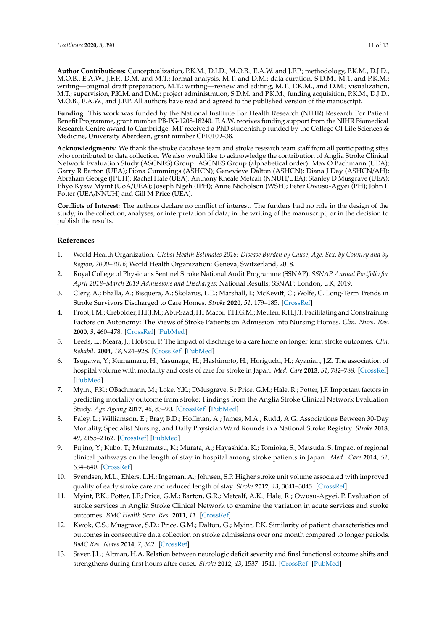**Author Contributions:** Conceptualization, P.K.M., D.J.D., M.O.B., E.A.W. and J.F.P.; methodology, P.K.M., D.J.D., M.O.B., E.A.W., J.F.P., D.M. and M.T.; formal analysis, M.T. and D.M.; data curation, S.D.M., M.T. and P.K.M.; writing—original draft preparation, M.T.; writing—review and editing, M.T., P.K.M., and D.M.; visualization, M.T.; supervision, P.K.M. and D.M.; project administration, S.D.M. and P.K.M.; funding acquisition, P.K.M., D.J.D., M.O.B., E.A.W., and J.F.P. All authors have read and agreed to the published version of the manuscript.

**Funding:** This work was funded by the National Institute For Health Research (NIHR) Research For Patient Benefit Programme, grant number PB-PG-1208-18240. E.A.W. receives funding support from the NIHR Biomedical Research Centre award to Cambridge. MT received a PhD studentship funded by the College Of Life Sciences & Medicine, University Aberdeen, grant number CF10109–38.

**Acknowledgments:** We thank the stroke database team and stroke research team staff from all participating sites who contributed to data collection. We also would like to acknowledge the contribution of Anglia Stroke Clinical Network Evaluation Study (ASCNES) Group. ASCNES Group (alphabetical order): Max O Bachmann (UEA); Garry R Barton (UEA); Fiona Cummings (ASHCN); Genevieve Dalton (ASHCN); Diana J Day (ASHCN/AH); Abraham George (JPUH); Rachel Hale (UEA); Anthony Kneale Metcalf (NNUH/UEA); Stanley D Musgrave (UEA); Phyo Kyaw Myint (UoA/UEA); Joseph Ngeh (IPH); Anne Nicholson (WSH); Peter Owusu-Agyei (PH); John F Potter (UEA/NNUH) and Gill M Price (UEA).

**Conflicts of Interest:** The authors declare no conflict of interest. The funders had no role in the design of the study; in the collection, analyses, or interpretation of data; in the writing of the manuscript, or in the decision to publish the results.

#### **References**

- <span id="page-10-0"></span>1. World Health Organization. *Global Health Estimates 2016: Disease Burden by Cause, Age, Sex, by Country and by Region, 2000–2016*; World Health Organization: Geneva, Switzerland, 2018.
- <span id="page-10-1"></span>2. Royal College of Physicians Sentinel Stroke National Audit Programme (SSNAP). *SSNAP Annual Portfolio for April 2018–March 2019 Admissions and Discharges*; National Results; SSNAP: London, UK, 2019.
- <span id="page-10-2"></span>3. Clery, A.; Bhalla, A.; Bisquera, A.; Skolarus, L.E.; Marshall, I.; McKevitt, C.; Wolfe, C. Long-Term Trends in Stroke Survivors Discharged to Care Homes. *Stroke* **2020**, *51*, 179–185. [\[CrossRef\]](http://dx.doi.org/10.1161/STROKEAHA.119.026618)
- <span id="page-10-3"></span>4. Proot, I.M.; Crebolder, H.F.J.M.; Abu-Saad, H.; Macor, T.H.G.M.; Meulen, R.H.J.T. Facilitating and Constraining Factors on Autonomy: The Views of Stroke Patients on Admission Into Nursing Homes. *Clin. Nurs. Res.* **2000**, *9*, 460–478. [\[CrossRef\]](http://dx.doi.org/10.1177/10547730022158690) [\[PubMed\]](http://www.ncbi.nlm.nih.gov/pubmed/11881700)
- <span id="page-10-4"></span>5. Leeds, L.; Meara, J.; Hobson, P. The impact of discharge to a care home on longer term stroke outcomes. *Clin. Rehabil.* **2004**, *18*, 924–928. [\[CrossRef\]](http://dx.doi.org/10.1191/0269215504cr807oa) [\[PubMed\]](http://www.ncbi.nlm.nih.gov/pubmed/15609848)
- <span id="page-10-5"></span>6. Tsugawa, Y.; Kumamaru, H.; Yasunaga, H.; Hashimoto, H.; Horiguchi, H.; Ayanian, J.Z. The association of hospital volume with mortality and costs of care for stroke in Japan. *Med. Care* **2013**, *51*, 782–788. [\[CrossRef\]](http://dx.doi.org/10.1097/MLR.0b013e31829c8b70) [\[PubMed\]](http://www.ncbi.nlm.nih.gov/pubmed/23942219)
- 7. Myint, P.K.; OBachmann, M.; Loke, Y.K.; DMusgrave, S.; Price, G.M.; Hale, R.; Potter, J.F. Important factors in predicting mortality outcome from stroke: Findings from the Anglia Stroke Clinical Network Evaluation Study. *Age Ageing* **2017**, *46*, 83–90. [\[CrossRef\]](http://dx.doi.org/10.1093/ageing/afw175) [\[PubMed\]](http://www.ncbi.nlm.nih.gov/pubmed/28181626)
- 8. Paley, L.; Williamson, E.; Bray, B.D.; Hoffman, A.; James, M.A.; Rudd, A.G. Associations Between 30-Day Mortality, Specialist Nursing, and Daily Physician Ward Rounds in a National Stroke Registry. *Stroke* **2018**, *49*, 2155–2162. [\[CrossRef\]](http://dx.doi.org/10.1161/STROKEAHA.118.021518) [\[PubMed\]](http://www.ncbi.nlm.nih.gov/pubmed/30354982)
- 9. Fujino, Y.; Kubo, T.; Muramatsu, K.; Murata, A.; Hayashida, K.; Tomioka, S.; Matsuda, S. Impact of regional clinical pathways on the length of stay in hospital among stroke patients in Japan. *Med. Care* **2014**, *52*, 634–640. [\[CrossRef\]](http://dx.doi.org/10.1097/MLR.0000000000000146)
- <span id="page-10-6"></span>10. Svendsen, M.L.; Ehlers, L.H.; Ingeman, A.; Johnsen, S.P. Higher stroke unit volume associated with improved quality of early stroke care and reduced length of stay. *Stroke* **2012**, *43*, 3041–3045. [\[CrossRef\]](http://dx.doi.org/10.1161/STROKEAHA.111.645184)
- <span id="page-10-7"></span>11. Myint, P.K.; Potter, J.F.; Price, G.M.; Barton, G.R.; Metcalf, A.K.; Hale, R.; Owusu-Agyei, P. Evaluation of stroke services in Anglia Stroke Clinical Network to examine the variation in acute services and stroke outcomes. *BMC Health Serv. Res.* **2011**, *11*. [\[CrossRef\]](http://dx.doi.org/10.1186/1472-6963-11-50)
- <span id="page-10-8"></span>12. Kwok, C.S.; Musgrave, S.D.; Price, G.M.; Dalton, G.; Myint, P.K. Similarity of patient characteristics and outcomes in consecutive data collection on stroke admissions over one month compared to longer periods. *BMC Res. Notes* **2014**, *7*, 342. [\[CrossRef\]](http://dx.doi.org/10.1186/1756-0500-7-342)
- <span id="page-10-9"></span>13. Saver, J.L.; Altman, H.A. Relation between neurologic deficit severity and final functional outcome shifts and strengthens during first hours after onset. *Stroke* **2012**, *43*, 1537–1541. [\[CrossRef\]](http://dx.doi.org/10.1161/STROKEAHA.111.636928) [\[PubMed\]](http://www.ncbi.nlm.nih.gov/pubmed/22492517)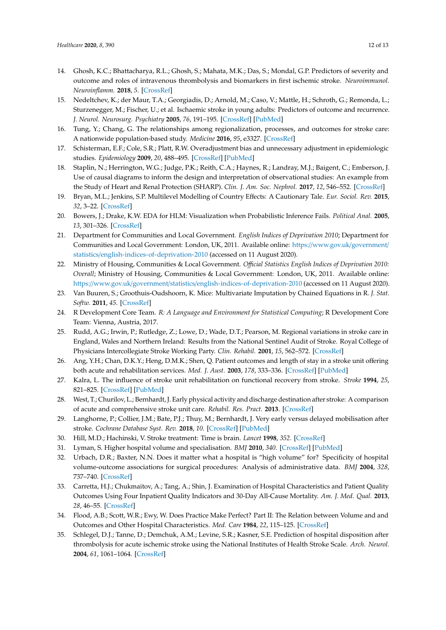- <span id="page-11-0"></span>14. Ghosh, K.C.; Bhattacharya, R.L.; Ghosh, S.; Mahata, M.K.; Das, S.; Mondal, G.P. Predictors of severity and outcome and roles of intravenous thrombolysis and biomarkers in first ischemic stroke. *Neuroimmunol. Neuroinflamm.* **2018**, *5*. [\[CrossRef\]](http://dx.doi.org/10.20517/2347-8659.2018.28)
- <span id="page-11-1"></span>15. Nedeltchev, K.; der Maur, T.A.; Georgiadis, D.; Arnold, M.; Caso, V.; Mattle, H.; Schroth, G.; Remonda, L.; Sturzenegger, M.; Fischer, U.; et al. Ischaemic stroke in young adults: Predictors of outcome and recurrence. *J. Neurol. Neurosurg. Psychiatry* **2005**, *76*, 191–195. [\[CrossRef\]](http://dx.doi.org/10.1136/jnnp.2004.040543) [\[PubMed\]](http://www.ncbi.nlm.nih.gov/pubmed/15654030)
- <span id="page-11-2"></span>16. Tung, Y.; Chang, G. The relationships among regionalization, processes, and outcomes for stroke care: A nationwide population-based study. *Medicine* **2016**, *95*, e3327. [\[CrossRef\]](http://dx.doi.org/10.1097/MD.0000000000003327)
- <span id="page-11-3"></span>17. Schisterman, E.F.; Cole, S.R.; Platt, R.W. Overadjustment bias and unnecessary adjustment in epidemiologic studies. *Epidemiology* **2009**, *20*, 488–495. [\[CrossRef\]](http://dx.doi.org/10.1097/EDE.0b013e3181a819a1) [\[PubMed\]](http://www.ncbi.nlm.nih.gov/pubmed/19525685)
- <span id="page-11-4"></span>18. Staplin, N.; Herrington, W.G.; Judge, P.K.; Reith, C.A.; Haynes, R.; Landray, M.J.; Baigent, C.; Emberson, J. Use of causal diagrams to inform the design and interpretation of observational studies: An example from the Study of Heart and Renal Protection (SHARP). *Clin. J. Am. Soc. Nephrol.* **2017**, *12*, 546–552. [\[CrossRef\]](http://dx.doi.org/10.2215/CJN.02430316)
- <span id="page-11-5"></span>19. Bryan, M.L.; Jenkins, S.P. Multilevel Modelling of Country Effects: A Cautionary Tale. *Eur. Sociol. Rev.* **2015**, *32*, 3–22. [\[CrossRef\]](http://dx.doi.org/10.1093/esr/jcv059)
- <span id="page-11-6"></span>20. Bowers, J.; Drake, K.W. EDA for HLM: Visualization when Probabilistic Inference Fails. *Political Anal.* **2005**, *13*, 301–326. [\[CrossRef\]](http://dx.doi.org/10.1093/pan/mpi031)
- <span id="page-11-7"></span>21. Department for Communities and Local Government. *English Indices of Deprivation 2010*; Department for Communities and Local Government: London, UK, 2011. Available online: https://[www.gov.uk](https://www.gov.uk/government/statistics/english-indices-of-deprivation-2010)/government/ statistics/[english-indices-of-deprivation-2010](https://www.gov.uk/government/statistics/english-indices-of-deprivation-2010) (accessed on 11 August 2020).
- <span id="page-11-8"></span>22. Ministry of Housing, Communities & Local Government. *O*ffi*cial Statistics English Indices of Deprivation 2010: Overall*; Ministry of Housing, Communities & Local Government: London, UK, 2011. Available online: https://www.gov.uk/government/statistics/[english-indices-of-deprivation-2010](https://www.gov.uk/government/statistics/english-indices-of-deprivation-2010) (accessed on 11 August 2020).
- <span id="page-11-9"></span>23. Van Buuren, S.; Groothuis-Oudshoorn, K. Mice: Multivariate Imputation by Chained Equations in R. *J. Stat. Softw.* **2011**, *45*. [\[CrossRef\]](http://dx.doi.org/10.18637/jss.v045.i03)
- <span id="page-11-10"></span>24. R Development Core Team. *R: A Language and Environment for Statistical Computing*; R Development Core Team: Vienna, Austria, 2017.
- <span id="page-11-11"></span>25. Rudd, A.G.; Irwin, P.; Rutledge, Z.; Lowe, D.; Wade, D.T.; Pearson, M. Regional variations in stroke care in England, Wales and Northern Ireland: Results from the National Sentinel Audit of Stroke. Royal College of Physicians Intercollegiate Stroke Working Party. *Clin. Rehabil.* **2001**, *15*, 562–572. [\[CrossRef\]](http://dx.doi.org/10.1191/026921501680425289)
- <span id="page-11-12"></span>26. Ang, Y.H.; Chan, D.K.Y.; Heng, D.M.K.; Shen, Q. Patient outcomes and length of stay in a stroke unit offering both acute and rehabilitation services. *Med. J. Aust.* **2003**, *178*, 333–336. [\[CrossRef\]](http://dx.doi.org/10.5694/j.1326-5377.2003.tb05225.x) [\[PubMed\]](http://www.ncbi.nlm.nih.gov/pubmed/12670276)
- 27. Kalra, L. The influence of stroke unit rehabilitation on functional recovery from stroke. *Stroke* **1994**, *25*, 821–825. [\[CrossRef\]](http://dx.doi.org/10.1161/01.STR.25.4.821) [\[PubMed\]](http://www.ncbi.nlm.nih.gov/pubmed/8160227)
- <span id="page-11-13"></span>28. West, T.; Churilov, L.; Bernhardt, J. Early physical activity and discharge destination after stroke: A comparison of acute and comprehensive stroke unit care. *Rehabil. Res. Pract.* **2013**. [\[CrossRef\]](http://dx.doi.org/10.1155/2013/498014)
- <span id="page-11-14"></span>29. Langhorne, P.; Collier, J.M.; Bate, P.J.; Thuy, M.; Bernhardt, J. Very early versus delayed mobilisation after stroke. *Cochrane Database Syst. Rev.* **2018**, *10*. [\[CrossRef\]](http://dx.doi.org/10.1002/14651858.CD006187.pub3) [\[PubMed\]](http://www.ncbi.nlm.nih.gov/pubmed/30321906)
- <span id="page-11-15"></span>30. Hill, M.D.; Hachinski, V. Stroke treatment: Time is brain. *Lancet* **1998**, *352*. [\[CrossRef\]](http://dx.doi.org/10.1016/S0140-6736(98)90088-5)
- <span id="page-11-16"></span>31. Lyman, S. Higher hospital volume and specialisation. *BMJ* **2010**, *340*. [\[CrossRef\]](http://dx.doi.org/10.1136/bmj.c160) [\[PubMed\]](http://www.ncbi.nlm.nih.gov/pubmed/20150192)
- <span id="page-11-17"></span>32. Urbach, D.R.; Baxter, N.N. Does it matter what a hospital is "high volume" for? Specificity of hospital volume-outcome associations for surgical procedures: Analysis of administrative data. *BMJ* **2004**, *328*, 737–740. [\[CrossRef\]](http://dx.doi.org/10.1136/bmj.38030.642963.AE)
- <span id="page-11-18"></span>33. Carretta, H.J.; Chukmaitov, A.; Tang, A.; Shin, J. Examination of Hospital Characteristics and Patient Quality Outcomes Using Four Inpatient Quality Indicators and 30-Day All-Cause Mortality. *Am. J. Med. Qual.* **2013**, *28*, 46–55. [\[CrossRef\]](http://dx.doi.org/10.1177/1062860612444459)
- <span id="page-11-19"></span>34. Flood, A.B.; Scott, W.R.; Ewy, W. Does Practice Make Perfect? Part II: The Relation between Volume and and Outcomes and Other Hospital Characteristics. *Med. Care* **1984**, *22*, 115–125. [\[CrossRef\]](http://dx.doi.org/10.1097/00005650-198402000-00003)
- <span id="page-11-20"></span>35. Schlegel, D.J.; Tanne, D.; Demchuk, A.M.; Levine, S.R.; Kasner, S.E. Prediction of hospital disposition after thrombolysis for acute ischemic stroke using the National Institutes of Health Stroke Scale. *Arch. Neurol.* **2004**, *61*, 1061–1064. [\[CrossRef\]](http://dx.doi.org/10.1001/archneur.61.7.1061)